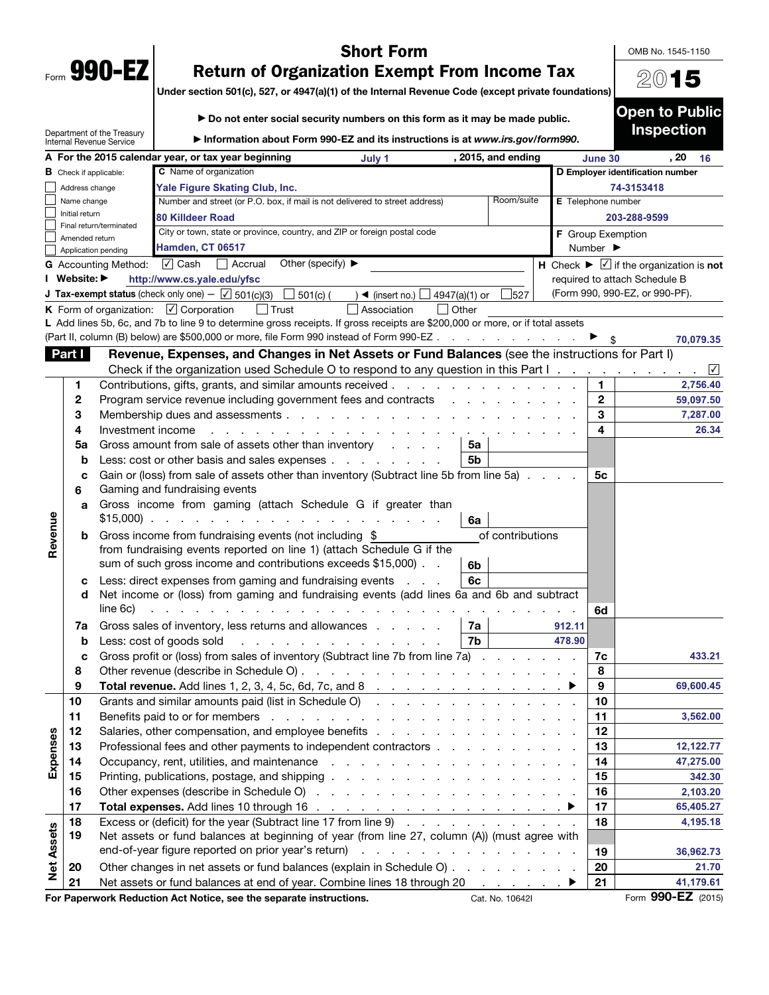| Form | 990- |  |
|------|------|--|

OMB No. 1545-1150

20**15**

# **Short Form<br>Return of Organization Exempt From Income Tax**

**Return of Organization Exempt From Income Tax Under section 501(c), 527, or 4947(a)(1) of the Internal Revenue Code (except private foundations)**

|                   |                               |                                                        | ► Do not enter social security numbers on this form as it may be made public.                                                                                                                                                                                                                                               |                                                       |                  |                    | <b>Open to Public</b>                                                                                |      |           |
|-------------------|-------------------------------|--------------------------------------------------------|-----------------------------------------------------------------------------------------------------------------------------------------------------------------------------------------------------------------------------------------------------------------------------------------------------------------------------|-------------------------------------------------------|------------------|--------------------|------------------------------------------------------------------------------------------------------|------|-----------|
|                   |                               | Department of the Treasury<br>Internal Revenue Service | Information about Form 990-EZ and its instructions is at www.irs.gov/form990.                                                                                                                                                                                                                                               |                                                       |                  |                    | <b>Inspection</b>                                                                                    |      |           |
|                   |                               |                                                        | A For the 2015 calendar year, or tax year beginning<br>July 1                                                                                                                                                                                                                                                               | , 2015, and ending                                    |                  | June 30            |                                                                                                      | . 20 | 16        |
|                   | <b>B</b> Check if applicable: |                                                        | C Name of organization                                                                                                                                                                                                                                                                                                      |                                                       |                  |                    | D Employer identification number                                                                     |      |           |
|                   | Address change                |                                                        | Yale Figure Skating Club, Inc.                                                                                                                                                                                                                                                                                              |                                                       |                  |                    | 74-3153418                                                                                           |      |           |
|                   | Name change                   |                                                        | Number and street (or P.O. box, if mail is not delivered to street address)                                                                                                                                                                                                                                                 | Room/suite                                            |                  | E Telephone number |                                                                                                      |      |           |
|                   | Initial return                | Final return/terminated                                | 80 Killdeer Road                                                                                                                                                                                                                                                                                                            |                                                       |                  |                    | 203-288-9599                                                                                         |      |           |
|                   | Amended return                |                                                        | City or town, state or province, country, and ZIP or foreign postal code<br><b>Hamden, CT 06517</b>                                                                                                                                                                                                                         |                                                       |                  | F Group Exemption  |                                                                                                      |      |           |
|                   | Application pending           |                                                        | Number $\blacktriangleright$                                                                                                                                                                                                                                                                                                |                                                       |                  |                    |                                                                                                      |      |           |
|                   |                               | <b>G</b> Accounting Method:                            | $\sqrt{ }$ Cash<br>Accrual<br>Other (specify) $\blacktriangleright$                                                                                                                                                                                                                                                         |                                                       |                  |                    | $\overline{H}$ Check $\blacktriangleright \overline{\blacktriangleright}$ if the organization is not |      |           |
|                   | I Website: ▶                  |                                                        | http://www.cs.yale.edu/yfsc                                                                                                                                                                                                                                                                                                 |                                                       |                  |                    | required to attach Schedule B                                                                        |      |           |
|                   |                               |                                                        | <b>J Tax-exempt status</b> (check only one) $-\sqrt{5}$ 501(c)(3)<br>$\Box$ 501(c) (<br>) ◀ (insert no.) $\Box$                                                                                                                                                                                                             | 527<br>4947(a)(1) or                                  |                  |                    | (Form 990, 990-EZ, or 990-PF).                                                                       |      |           |
|                   |                               |                                                        | <b>K</b> Form of organization: $\boxed{\checkmark}$ Corporation<br>$\Box$ Trust<br>Association                                                                                                                                                                                                                              | $\vert$ Other                                         |                  |                    |                                                                                                      |      |           |
|                   |                               |                                                        | L Add lines 5b, 6c, and 7b to line 9 to determine gross receipts. If gross receipts are \$200,000 or more, or if total assets                                                                                                                                                                                               |                                                       |                  |                    |                                                                                                      |      |           |
|                   |                               |                                                        | (Part II, column (B) below) are \$500,000 or more, file Form 990 instead of Form 990-EZ                                                                                                                                                                                                                                     |                                                       |                  |                    |                                                                                                      |      | 70,079.35 |
|                   | Part I                        |                                                        | Revenue, Expenses, and Changes in Net Assets or Fund Balances (see the instructions for Part I)                                                                                                                                                                                                                             |                                                       |                  |                    |                                                                                                      |      |           |
|                   |                               |                                                        | Check if the organization used Schedule O to respond to any question in this Part $1 \ldots \ldots \ldots$                                                                                                                                                                                                                  |                                                       |                  |                    |                                                                                                      |      |           |
|                   | 1                             |                                                        | Contributions, gifts, grants, and similar amounts received                                                                                                                                                                                                                                                                  |                                                       |                  | 1.                 |                                                                                                      |      | 2,756.40  |
|                   | 2                             |                                                        | Program service revenue including government fees and contracts                                                                                                                                                                                                                                                             |                                                       |                  | $\mathbf{2}$       |                                                                                                      |      | 59,097.50 |
|                   | 3                             |                                                        |                                                                                                                                                                                                                                                                                                                             |                                                       |                  | 3                  |                                                                                                      |      | 7,287.00  |
|                   | 4                             | Investment income                                      | and a state of the state                                                                                                                                                                                                                                                                                                    |                                                       |                  | 4                  |                                                                                                      |      | 26.34     |
|                   | 5a                            |                                                        | Gross amount from sale of assets other than inventory                                                                                                                                                                                                                                                                       | 5a                                                    |                  |                    |                                                                                                      |      |           |
|                   | b                             |                                                        | Less: cost or other basis and sales expenses                                                                                                                                                                                                                                                                                | 5b                                                    |                  |                    |                                                                                                      |      |           |
|                   | c                             |                                                        | Gain or (loss) from sale of assets other than inventory (Subtract line 5b from line 5a)                                                                                                                                                                                                                                     |                                                       |                  | 5с                 |                                                                                                      |      |           |
|                   | 6                             |                                                        | Gaming and fundraising events                                                                                                                                                                                                                                                                                               |                                                       |                  |                    |                                                                                                      |      |           |
|                   | a                             |                                                        | Gross income from gaming (attach Schedule G if greater than                                                                                                                                                                                                                                                                 |                                                       |                  |                    |                                                                                                      |      |           |
| Revenue           |                               |                                                        | $$15,000$                                                                                                                                                                                                                                                                                                                   | 6a                                                    |                  |                    |                                                                                                      |      |           |
|                   | b                             |                                                        | Gross income from fundraising events (not including \$                                                                                                                                                                                                                                                                      | of contributions                                      |                  |                    |                                                                                                      |      |           |
|                   |                               |                                                        | from fundraising events reported on line 1) (attach Schedule G if the<br>sum of such gross income and contributions exceeds \$15,000).                                                                                                                                                                                      |                                                       |                  |                    |                                                                                                      |      |           |
|                   |                               |                                                        |                                                                                                                                                                                                                                                                                                                             | 6b                                                    |                  |                    |                                                                                                      |      |           |
|                   | с<br>d                        |                                                        | Less: direct expenses from gaming and fundraising events                                                                                                                                                                                                                                                                    | 6c                                                    |                  |                    |                                                                                                      |      |           |
|                   |                               | line 6c)                                               | Net income or (loss) from gaming and fundraising events (add lines 6a and 6b and subtract<br>and the contract of the contract of the contract of the contract of the contract of the contract of the contract of the contract of the contract of the contract of the contract of the contract of the contract of the contra |                                                       |                  |                    |                                                                                                      |      |           |
|                   |                               |                                                        |                                                                                                                                                                                                                                                                                                                             |                                                       |                  | 6d                 |                                                                                                      |      |           |
|                   | 7a                            |                                                        | Gross sales of inventory, less returns and allowances                                                                                                                                                                                                                                                                       | 7а<br>7b                                              | 912.11<br>478.90 |                    |                                                                                                      |      |           |
|                   | b                             |                                                        | Less: cost of goods sold<br>.<br>Gross profit or (loss) from sales of inventory (Subtract line 7b from line 7a)                                                                                                                                                                                                             |                                                       |                  |                    |                                                                                                      |      | 433.21    |
|                   | 8                             |                                                        |                                                                                                                                                                                                                                                                                                                             |                                                       |                  | 7с<br>8            |                                                                                                      |      |           |
|                   | 9                             |                                                        |                                                                                                                                                                                                                                                                                                                             |                                                       |                  | 9                  |                                                                                                      |      | 69,600.45 |
|                   | 10                            |                                                        |                                                                                                                                                                                                                                                                                                                             |                                                       |                  | 10                 |                                                                                                      |      |           |
|                   | 11                            |                                                        | Benefits paid to or for members<br>the contract of the contract of the contract of the contract of the contract of                                                                                                                                                                                                          |                                                       |                  | 11                 |                                                                                                      |      | 3,562.00  |
|                   | 12                            |                                                        |                                                                                                                                                                                                                                                                                                                             |                                                       |                  | 12                 |                                                                                                      |      |           |
|                   | 13                            |                                                        | Professional fees and other payments to independent contractors                                                                                                                                                                                                                                                             |                                                       |                  | 13                 |                                                                                                      |      | 12,122.77 |
| Expenses          | 14                            |                                                        |                                                                                                                                                                                                                                                                                                                             |                                                       |                  | 14                 |                                                                                                      |      | 47,275.00 |
|                   | 15                            |                                                        |                                                                                                                                                                                                                                                                                                                             |                                                       |                  | 15                 |                                                                                                      |      | 342.30    |
|                   | 16                            |                                                        |                                                                                                                                                                                                                                                                                                                             |                                                       |                  | 16                 |                                                                                                      |      | 2,103.20  |
|                   | 17                            |                                                        |                                                                                                                                                                                                                                                                                                                             |                                                       |                  | 17                 |                                                                                                      |      | 65,405.27 |
|                   | 18                            |                                                        | Excess or (deficit) for the year (Subtract line 17 from line 9)                                                                                                                                                                                                                                                             |                                                       |                  | 18                 |                                                                                                      |      | 4,195.18  |
|                   | 19                            |                                                        | Net assets or fund balances at beginning of year (from line 27, column (A)) (must agree with                                                                                                                                                                                                                                |                                                       |                  |                    |                                                                                                      |      |           |
|                   |                               |                                                        | end-of-year figure reported on prior year's return)                                                                                                                                                                                                                                                                         |                                                       |                  | 19                 |                                                                                                      |      | 36,962.73 |
| <b>Net Assets</b> | 20                            |                                                        | Other changes in net assets or fund balances (explain in Schedule O)                                                                                                                                                                                                                                                        |                                                       |                  | 20                 |                                                                                                      |      | 21.70     |
|                   | 21                            |                                                        | Net assets or fund balances at end of year. Combine lines 18 through 20                                                                                                                                                                                                                                                     | $\mathcal{A}$ , and $\mathcal{A}$ , and $\mathcal{A}$ |                  | 21                 |                                                                                                      |      | 41,179.61 |
|                   |                               |                                                        |                                                                                                                                                                                                                                                                                                                             |                                                       |                  |                    |                                                                                                      |      |           |

**For Paperwork Reduction Act Notice, see the separate instructions. <br>
Cat. No. 10642I Form 990-EZ (2015)**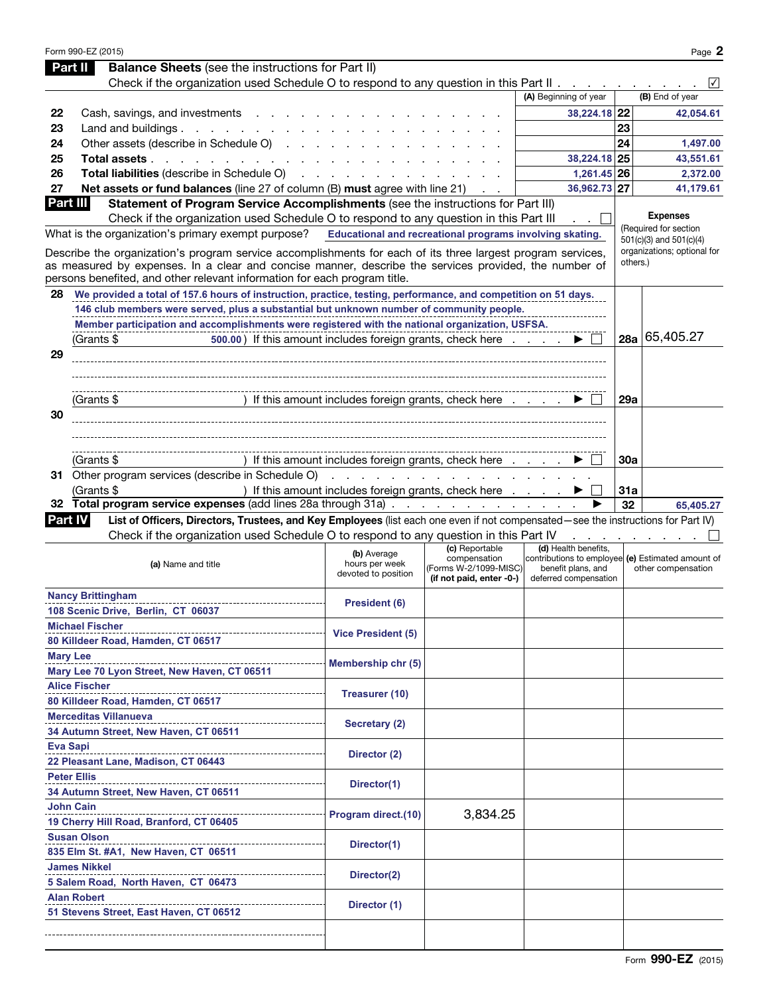|                 | Form 990-EZ (2015)                                                                                                                |                                                          |                                |                                                                           |          | Page 2                      |
|-----------------|-----------------------------------------------------------------------------------------------------------------------------------|----------------------------------------------------------|--------------------------------|---------------------------------------------------------------------------|----------|-----------------------------|
|                 | <b>Balance Sheets</b> (see the instructions for Part II)<br>Part II                                                               |                                                          |                                |                                                                           |          |                             |
|                 | Check if the organization used Schedule O to respond to any question in this Part II                                              |                                                          |                                |                                                                           |          | $\sqrt{}$                   |
|                 |                                                                                                                                   |                                                          |                                | (A) Beginning of year                                                     |          | (B) End of year             |
| 22              | Cash, savings, and investments                                                                                                    |                                                          |                                | 38,224.18 22                                                              |          | 42,054.61                   |
| 23              | Land and buildings $\ldots$ $\ldots$ $\ldots$ $\ldots$                                                                            |                                                          |                                |                                                                           | 23       |                             |
| 24              | Other assets (describe in Schedule O)                                                                                             |                                                          |                                |                                                                           | 24       | 1,497.00                    |
| 25              | Total assets                                                                                                                      |                                                          |                                | 38,224.18 25                                                              |          | 43,551.61                   |
| 26              | Total liabilities (describe in Schedule O)                                                                                        |                                                          |                                | 1,261.45 26                                                               |          | 2,372.00                    |
| 27              | Net assets or fund balances (line 27 of column (B) must agree with line 21)                                                       |                                                          |                                | 36,962.73 27                                                              |          | 41,179.61                   |
| Part III        | Statement of Program Service Accomplishments (see the instructions for Part III)                                                  |                                                          |                                |                                                                           |          | <b>Expenses</b>             |
|                 | Check if the organization used Schedule O to respond to any question in this Part III                                             |                                                          |                                |                                                                           |          | (Required for section       |
|                 | What is the organization's primary exempt purpose?                                                                                | Educational and recreational programs involving skating. |                                |                                                                           |          | 501(c)(3) and 501(c)(4)     |
|                 | Describe the organization's program service accomplishments for each of its three largest program services,                       |                                                          |                                |                                                                           |          | organizations; optional for |
|                 | as measured by expenses. In a clear and concise manner, describe the services provided, the number of                             |                                                          |                                |                                                                           | others.) |                             |
|                 | persons benefited, and other relevant information for each program title.                                                         |                                                          |                                |                                                                           |          |                             |
| 28              | We provided a total of 157.6 hours of instruction, practice, testing, performance, and competition on 51 days.                    |                                                          |                                |                                                                           |          |                             |
|                 | 146 club members were served, plus a substantial but unknown number of community people.                                          |                                                          |                                |                                                                           |          |                             |
|                 | Member participation and accomplishments were registered with the national organization, USFSA.                                   |                                                          |                                |                                                                           |          |                             |
|                 | 500.00) If this amount includes foreign grants, check here<br>(Grants \$                                                          |                                                          |                                |                                                                           | 28a      | 65,405.27                   |
| 29              |                                                                                                                                   |                                                          |                                |                                                                           |          |                             |
|                 |                                                                                                                                   |                                                          |                                |                                                                           |          |                             |
|                 |                                                                                                                                   |                                                          |                                |                                                                           |          |                             |
|                 | (Grants \$                                                                                                                        | ) If this amount includes foreign grants, check here     |                                |                                                                           | 29a      |                             |
| 30              |                                                                                                                                   |                                                          |                                |                                                                           |          |                             |
|                 |                                                                                                                                   |                                                          |                                |                                                                           |          |                             |
|                 |                                                                                                                                   |                                                          |                                |                                                                           |          |                             |
|                 | (Grants \$                                                                                                                        | If this amount includes foreign grants, check here       |                                |                                                                           | 30a      |                             |
|                 | 31 Other program services (describe in Schedule O)                                                                                |                                                          | <u>.</u>                       |                                                                           |          |                             |
|                 | (Grants \$                                                                                                                        | ) If this amount includes foreign grants, check here     |                                |                                                                           | 31a      |                             |
|                 | 32 Total program service expenses (add lines 28a through 31a)                                                                     |                                                          |                                |                                                                           | 32       | 65,405.27                   |
| <b>Part IV</b>  | List of Officers, Directors, Trustees, and Key Employees (list each one even if not compensated—see the instructions for Part IV) |                                                          |                                |                                                                           |          |                             |
|                 | Check if the organization used Schedule O to respond to any question in this Part IV                                              |                                                          |                                |                                                                           |          |                             |
|                 |                                                                                                                                   | (b) Average                                              | (c) Reportable<br>compensation | (d) Health benefits,<br>contributions to employee (e) Estimated amount of |          |                             |
|                 | (a) Name and title                                                                                                                | hours per week<br>devoted to position                    | (Forms W-2/1099-MISC)          | benefit plans, and                                                        |          | other compensation          |
|                 |                                                                                                                                   |                                                          | (if not paid, enter -0-)       | deferred compensation                                                     |          |                             |
|                 | <b>Nancy Brittingham</b>                                                                                                          | <b>President (6)</b>                                     |                                |                                                                           |          |                             |
|                 | 108 Scenic Drive, Berlin, CT 06037                                                                                                |                                                          |                                |                                                                           |          |                             |
|                 | <b>Michael Fischer</b>                                                                                                            | <b>Vice President (5)</b>                                |                                |                                                                           |          |                             |
|                 | 80 Killdeer Road, Hamden, CT 06517                                                                                                |                                                          |                                |                                                                           |          |                             |
| <b>Mary Lee</b> |                                                                                                                                   | Membership chr (5)                                       |                                |                                                                           |          |                             |
|                 | Mary Lee 70 Lyon Street, New Haven, CT 06511                                                                                      |                                                          |                                |                                                                           |          |                             |
|                 | <b>Alice Fischer</b>                                                                                                              | Treasurer (10)                                           |                                |                                                                           |          |                             |
|                 | 80 Killdeer Road, Hamden, CT 06517                                                                                                |                                                          |                                |                                                                           |          |                             |
|                 | <b>Merceditas Villanueva</b>                                                                                                      | Secretary (2)                                            |                                |                                                                           |          |                             |
|                 | 34 Autumn Street, New Haven, CT 06511                                                                                             |                                                          |                                |                                                                           |          |                             |
| <b>Eva Sapi</b> |                                                                                                                                   | Director (2)                                             |                                |                                                                           |          |                             |
|                 | 22 Pleasant Lane, Madison, CT 06443                                                                                               |                                                          |                                |                                                                           |          |                             |
|                 | <b>Peter Ellis</b>                                                                                                                |                                                          |                                |                                                                           |          |                             |
|                 | 34 Autumn Street, New Haven, CT 06511                                                                                             | Director(1)                                              |                                |                                                                           |          |                             |
|                 | <b>John Cain</b>                                                                                                                  |                                                          |                                |                                                                           |          |                             |
|                 | 19 Cherry Hill Road, Branford, CT 06405                                                                                           | Program direct.(10)                                      | 3,834.25                       |                                                                           |          |                             |
|                 | <b>Susan Olson</b>                                                                                                                |                                                          |                                |                                                                           |          |                             |
|                 | 835 Elm St. #A1, New Haven, CT 06511                                                                                              | Director(1)                                              |                                |                                                                           |          |                             |
|                 | <b>James Nikkel</b>                                                                                                               |                                                          |                                |                                                                           |          |                             |
|                 | 5 Salem Road, North Haven, CT 06473                                                                                               | Director(2)                                              |                                |                                                                           |          |                             |
|                 | <b>Alan Robert</b>                                                                                                                |                                                          |                                |                                                                           |          |                             |
|                 | 51 Stevens Street, East Haven, CT 06512                                                                                           | Director (1)                                             |                                |                                                                           |          |                             |
|                 |                                                                                                                                   |                                                          |                                |                                                                           |          |                             |
|                 |                                                                                                                                   |                                                          |                                |                                                                           |          |                             |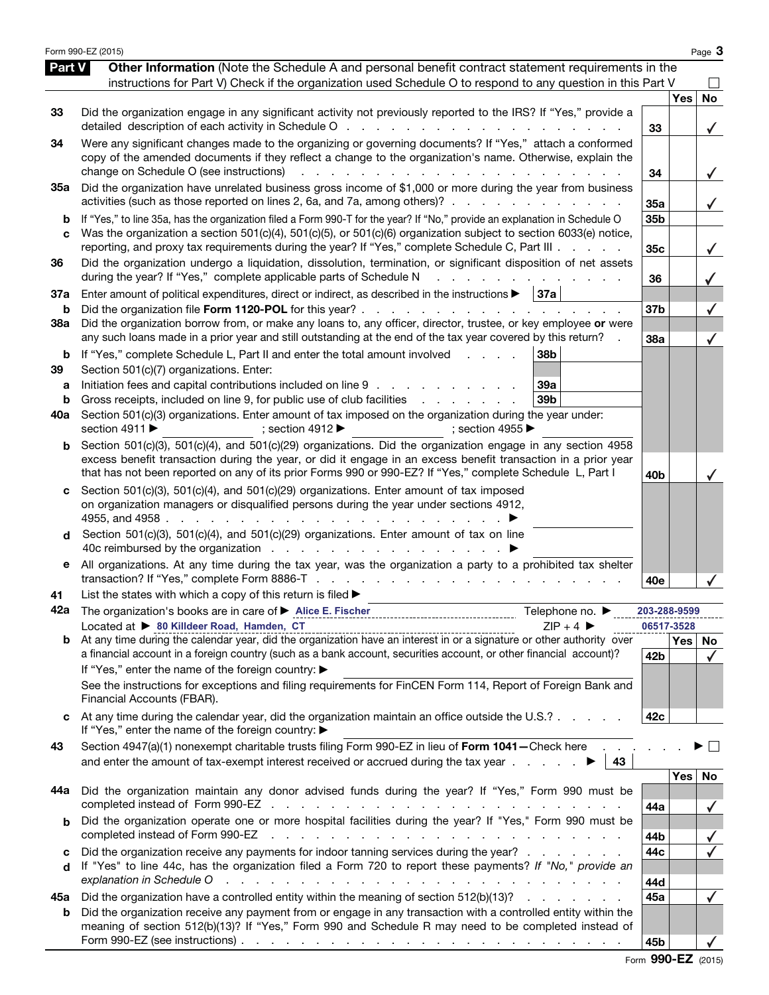|                          | Form 990-EZ (2015)                                                                                                                                                                                                                                                                                                                                                                                                                                                                                                                                                    |                 |            | Page 3       |
|--------------------------|-----------------------------------------------------------------------------------------------------------------------------------------------------------------------------------------------------------------------------------------------------------------------------------------------------------------------------------------------------------------------------------------------------------------------------------------------------------------------------------------------------------------------------------------------------------------------|-----------------|------------|--------------|
| Part V                   | Other Information (Note the Schedule A and personal benefit contract statement requirements in the<br>instructions for Part V) Check if the organization used Schedule O to respond to any question in this Part V                                                                                                                                                                                                                                                                                                                                                    |                 |            |              |
| 33                       | Did the organization engage in any significant activity not previously reported to the IRS? If "Yes," provide a<br>detailed description of each activity in Schedule O<br>and the state of the state of the                                                                                                                                                                                                                                                                                                                                                           | 33              | <b>Yes</b> | <b>No</b>    |
| 34                       | Were any significant changes made to the organizing or governing documents? If "Yes," attach a conformed<br>copy of the amended documents if they reflect a change to the organization's name. Otherwise, explain the<br>change on Schedule O (see instructions)<br><b>Contract</b><br>$\mathbf{r} = \mathbf{r}$<br>the contract of the contract of the                                                                                                                                                                                                               | 34              |            | $\checkmark$ |
| 35a                      | Did the organization have unrelated business gross income of \$1,000 or more during the year from business<br>activities (such as those reported on lines 2, 6a, and 7a, among others)?                                                                                                                                                                                                                                                                                                                                                                               | 35a             |            | $\checkmark$ |
| b<br>C                   | If "Yes," to line 35a, has the organization filed a Form 990-T for the year? If "No," provide an explanation in Schedule O<br>Was the organization a section 501(c)(4), 501(c)(5), or 501(c)(6) organization subject to section 6033(e) notice,<br>reporting, and proxy tax requirements during the year? If "Yes," complete Schedule C, Part III                                                                                                                                                                                                                     | 35b<br>35c      |            | $\checkmark$ |
| 36                       | Did the organization undergo a liquidation, dissolution, termination, or significant disposition of net assets<br>during the year? If "Yes," complete applicable parts of Schedule N<br>and the state of the state of the                                                                                                                                                                                                                                                                                                                                             | 36              |            |              |
| 37a<br>b                 | Enter amount of political expenditures, direct or indirect, as described in the instructions $\blacktriangleright$   37a<br>Did the organization file Form 1120-POL for this year?.<br>the contract of the contract of the                                                                                                                                                                                                                                                                                                                                            | 37b             |            |              |
| 38a                      | Did the organization borrow from, or make any loans to, any officer, director, trustee, or key employee or were<br>any such loans made in a prior year and still outstanding at the end of the tax year covered by this return?                                                                                                                                                                                                                                                                                                                                       | 38a             |            |              |
| b<br>39<br>a<br>b<br>40a | 38b<br>If "Yes," complete Schedule L, Part II and enter the total amount involved<br>and a state of<br>Section 501(c)(7) organizations. Enter:<br>Initiation fees and capital contributions included on line 9<br>39a<br>Gross receipts, included on line 9, for public use of club facilities<br>39 <sub>b</sub><br>and the contract of the contract of<br>Section 501(c)(3) organizations. Enter amount of tax imposed on the organization during the year under:<br>section 4911 ▶<br>; section 4912 $\blacktriangleright$<br>; section 4955 $\blacktriangleright$ |                 |            |              |
| b                        | Section 501(c)(3), 501(c)(4), and 501(c)(29) organizations. Did the organization engage in any section 4958<br>excess benefit transaction during the year, or did it engage in an excess benefit transaction in a prior year<br>that has not been reported on any of its prior Forms 990 or 990-EZ? If "Yes," complete Schedule L, Part I                                                                                                                                                                                                                             | 40 <sub>b</sub> |            |              |
| d                        | Section 501(c)(3), 501(c)(4), and 501(c)(29) organizations. Enter amount of tax imposed<br>on organization managers or disqualified persons during the year under sections 4912,<br>4955, and 4958.<br>Section 501(c)(3), 501(c)(4), and 501(c)(29) organizations. Enter amount of tax on line                                                                                                                                                                                                                                                                        |                 |            |              |
| е                        | All organizations. At any time during the tax year, was the organization a party to a prohibited tax shelter                                                                                                                                                                                                                                                                                                                                                                                                                                                          | 40e             |            |              |
| 41<br>42a                | List the states with which a copy of this return is filed $\blacktriangleright$<br>Telephone no. ▶                                                                                                                                                                                                                                                                                                                                                                                                                                                                    | 203-288-9599    |            |              |
|                          | Located at > 80 Killdeer Road, Hamden, CT<br>$7IP + 4$<br>Located at $\blacktriangleright$ our minuter road, rample, CIP 1.1, and the organization have an interest in or a signature or other authority over b. At any time during the calendar year, did the organization have an interest in or a                                                                                                                                                                                                                                                                  |                 | 06517-3528 |              |
|                          | a financial account in a foreign country (such as a bank account, securities account, or other financial account)?<br>If "Yes," enter the name of the foreign country: ▶<br>See the instructions for exceptions and filing requirements for FinCEN Form 114, Report of Foreign Bank and                                                                                                                                                                                                                                                                               | 42b             | Yes   No   | $\checkmark$ |
| c                        | Financial Accounts (FBAR).<br>At any time during the calendar year, did the organization maintain an office outside the U.S.?                                                                                                                                                                                                                                                                                                                                                                                                                                         | 42c             |            |              |
| 43                       | If "Yes," enter the name of the foreign country: ▶<br>Section 4947(a)(1) nonexempt charitable trusts filing Form 990-EZ in lieu of Form 1041-Check here<br>and enter the amount of tax-exempt interest received or accrued during the tax year $\ldots$ $\ldots$<br>43                                                                                                                                                                                                                                                                                                |                 |            |              |
|                          |                                                                                                                                                                                                                                                                                                                                                                                                                                                                                                                                                                       |                 | Yes        | No           |
| 44a                      | Did the organization maintain any donor advised funds during the year? If "Yes," Form 990 must be                                                                                                                                                                                                                                                                                                                                                                                                                                                                     | 44a             |            | $\checkmark$ |
| b                        | Did the organization operate one or more hospital facilities during the year? If "Yes," Form 990 must be<br>completed instead of Form 990-EZ<br>the contract of the contract of the contract of the contract of the contract of the contract of the contract of                                                                                                                                                                                                                                                                                                       | 44b             |            |              |
| c<br>d                   | Did the organization receive any payments for indoor tanning services during the year?<br>If "Yes" to line 44c, has the organization filed a Form 720 to report these payments? If "No," provide an<br>explanation in Schedule O<br>the contract of the contract of the contract of the contract of the contract of                                                                                                                                                                                                                                                   | 44c<br>44d      |            |              |
| 45а                      | Did the organization have a controlled entity within the meaning of section 512(b)(13)?                                                                                                                                                                                                                                                                                                                                                                                                                                                                               | 45a             |            | $\checkmark$ |
| b                        | Did the organization receive any payment from or engage in any transaction with a controlled entity within the<br>meaning of section 512(b)(13)? If "Yes," Form 990 and Schedule R may need to be completed instead of<br>Form 990-EZ (see instructions) $\ldots$ $\ldots$ $\ldots$ $\ldots$ $\ldots$ $\ldots$ $\ldots$ $\ldots$ $\ldots$ $\ldots$ $\ldots$                                                                                                                                                                                                           | 45b             |            |              |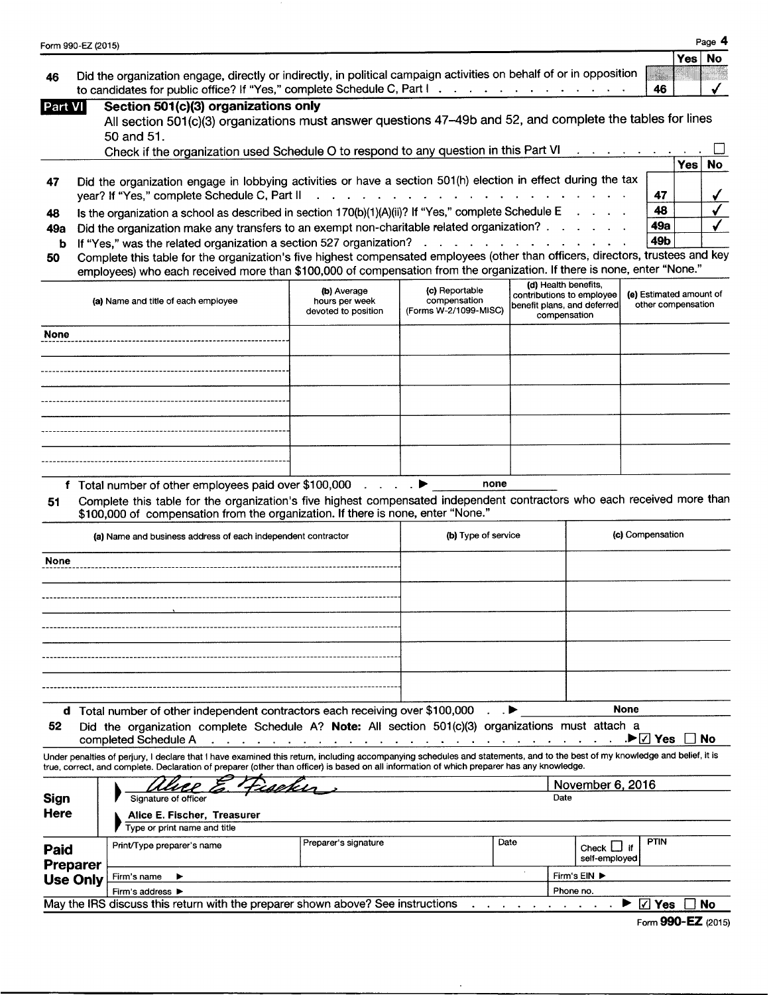| Form 990-EZ (2015)   |                                                                                                                                                                                                                                                                                                                                                                                                                                                                                                                                       |                                                      |                                                         |      |                                                                                                  | Page 4                                        |
|----------------------|---------------------------------------------------------------------------------------------------------------------------------------------------------------------------------------------------------------------------------------------------------------------------------------------------------------------------------------------------------------------------------------------------------------------------------------------------------------------------------------------------------------------------------------|------------------------------------------------------|---------------------------------------------------------|------|--------------------------------------------------------------------------------------------------|-----------------------------------------------|
| 46                   | Did the organization engage, directly or indirectly, in political campaign activities on behalf of or in opposition<br>to candidates for public office? If "Yes," complete Schedule C, Part I                                                                                                                                                                                                                                                                                                                                         |                                                      |                                                         |      |                                                                                                  | <b>No</b><br>Yes<br>46                        |
| Part VI              | Section 501(c)(3) organizations only<br>All section 501(c)(3) organizations must answer questions 47-49b and 52, and complete the tables for lines<br>50 and 51.<br>Check if the organization used Schedule O to respond to any question in this Part VI                                                                                                                                                                                                                                                                              |                                                      |                                                         |      |                                                                                                  |                                               |
| 47                   | Did the organization engage in lobbying activities or have a section 501(h) election in effect during the tax<br>year? If "Yes," complete Schedule C, Part II                                                                                                                                                                                                                                                                                                                                                                         |                                                      |                                                         |      |                                                                                                  | Yes<br>No.<br>47                              |
| 48<br>49а<br>b<br>50 | Is the organization a school as described in section 170(b)(1)(A)(ii)? If "Yes," complete Schedule E<br>Did the organization make any transfers to an exempt non-charitable related organization?<br>If "Yes," was the related organization a section 527 organization?<br>Complete this table for the organization's five highest compensated employees (other than officers, directors, trustees and key<br>employees) who each received more than \$100,000 of compensation from the organization. If there is none, enter "None." |                                                      | design and a state of the state of the                  |      |                                                                                                  | 48<br>49a<br>49b                              |
|                      | (a) Name and title of each employee                                                                                                                                                                                                                                                                                                                                                                                                                                                                                                   | (b) Average<br>hours per week<br>devoted to position | (c) Reportable<br>compensation<br>(Forms W-2/1099-MISC) |      | (d) Health benefits,<br>contributions to employee<br>benefit plans, and deferred<br>compensation | (e) Estimated amount of<br>other compensation |
| <b>None</b>          |                                                                                                                                                                                                                                                                                                                                                                                                                                                                                                                                       |                                                      |                                                         |      |                                                                                                  |                                               |
|                      |                                                                                                                                                                                                                                                                                                                                                                                                                                                                                                                                       |                                                      |                                                         |      |                                                                                                  |                                               |
|                      |                                                                                                                                                                                                                                                                                                                                                                                                                                                                                                                                       |                                                      |                                                         |      |                                                                                                  |                                               |
|                      |                                                                                                                                                                                                                                                                                                                                                                                                                                                                                                                                       |                                                      |                                                         |      |                                                                                                  |                                               |
| 51                   | f Total number of other employees paid over \$100,000<br>Complete this table for the organization's five highest compensated independent contractors who each received more than<br>\$100,000 of compensation from the organization. If there is none, enter "None."<br>(a) Name and business address of each independent contractor                                                                                                                                                                                                  |                                                      | none<br>(b) Type of service                             |      |                                                                                                  | (c) Compensation                              |
| None                 |                                                                                                                                                                                                                                                                                                                                                                                                                                                                                                                                       |                                                      |                                                         |      |                                                                                                  |                                               |
|                      |                                                                                                                                                                                                                                                                                                                                                                                                                                                                                                                                       |                                                      |                                                         |      |                                                                                                  |                                               |
|                      |                                                                                                                                                                                                                                                                                                                                                                                                                                                                                                                                       |                                                      |                                                         |      |                                                                                                  |                                               |
|                      |                                                                                                                                                                                                                                                                                                                                                                                                                                                                                                                                       |                                                      |                                                         |      |                                                                                                  |                                               |
| 52                   | d Total number of other independent contractors each receiving over \$100,000<br>Did the organization complete Schedule A? Note: All section 501(c)(3) organizations must attach a<br>completed Schedule A                                                                                                                                                                                                                                                                                                                            |                                                      | design and a state of the state                         |      |                                                                                                  | <b>None</b><br>.▶ Ø Yes<br>No                 |
|                      | Under penalties of perjury, I declare that I have examined this return, including accompanying schedules and statements, and to the best of my knowledge and belief, it is<br>true, correct, and complete. Declaration of preparer (other than officer) is based on all information of which preparer has any knowledge.                                                                                                                                                                                                              |                                                      |                                                         |      |                                                                                                  |                                               |
| <b>Sign</b><br>Here  | Signature of officer<br>Alice E. Fischer, Treasurer<br>Type or print name and title                                                                                                                                                                                                                                                                                                                                                                                                                                                   |                                                      |                                                         |      | November 6, 2016<br>Date                                                                         |                                               |
| Paid<br>Preparer     | Print/Type preparer's name                                                                                                                                                                                                                                                                                                                                                                                                                                                                                                            | Preparer's signature                                 |                                                         | Date | Check $L$ if<br>self-employed                                                                    | <b>PTIN</b>                                   |
| <b>Use Only</b>      | Firm's name<br>Firm's address $\blacktriangleright$<br>May the IRS discuss this return with the preparer shown above? See instructions                                                                                                                                                                                                                                                                                                                                                                                                |                                                      |                                                         |      | Firm's EIN ▶<br>Phone no.                                                                        | $\boxtimes$ Yes<br>No                         |
|                      |                                                                                                                                                                                                                                                                                                                                                                                                                                                                                                                                       |                                                      |                                                         |      |                                                                                                  | Form 990-EZ (2015)                            |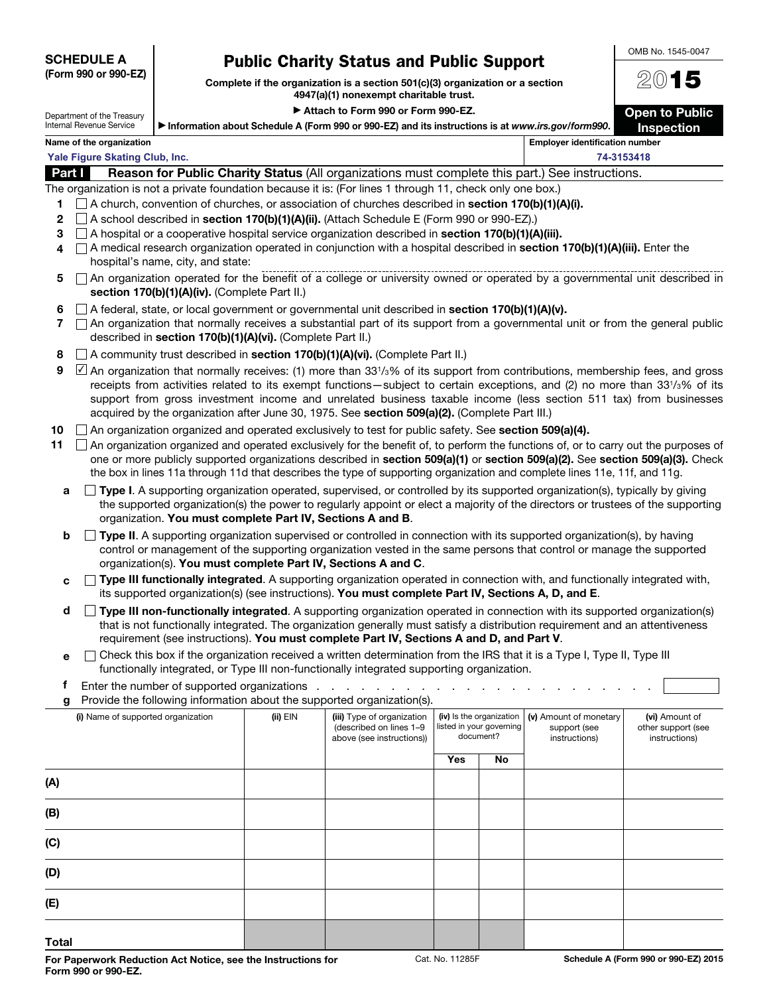**SCHEDULE A (Form 990 or 990-EZ)**

Department of the Treasury

**Public Charity Status and Public Support Complete if the organization is a section 501(c)(3) organization or a section** 

### **4947(a)(1) nonexempt charitable trust.** ▶ Attach to Form 990 or Form 990-EZ.

**Open to Public** 

OMB No. 1545-0047

20**15**

| Internal Revenue Service | let information about Schedule A (Form 990 or 990-EZ) and its instructions is at www.irs.gov/form990. |                                | <b>Inspection</b> |
|--------------------------|-------------------------------------------------------------------------------------------------------|--------------------------------|-------------------|
| Name of the exacutaction |                                                                                                       | Employer identification number |                   |

|               | Name of the organization                                                                               | <b>Employer identification number</b> |
|---------------|--------------------------------------------------------------------------------------------------------|---------------------------------------|
|               | Yale Figure Skating Club, Inc.                                                                         | 74-3153418                            |
| <b>Part I</b> | <b>Reason for Public Charity Status (All organizations must complete this part.) See instructions.</b> |                                       |

The organization is not a private foundation because it is: (For lines 1 through 11, check only one box.)

- **1** A church, convention of churches, or association of churches described in **section 170(b)(1)(A)(i).**
- **2** A school described in **section 170(b)(1)(A)(ii).** (Attach Schedule E (Form 990 or 990-EZ).)
- **3** A hospital or a cooperative hospital service organization described in **section 170(b)(1)(A)(iii).**
- **4** A medical research organization operated in conjunction with a hospital described in **section 170(b)(1)(A)(iii).** Enter the hospital's name, city, and state:
- **5**  $\Box$  An organization operated for the benefit of a college or university owned or operated by a governmental unit described in **section 170(b)(1)(A)(iv).** (Complete Part II.)
- **6** A federal, state, or local government or governmental unit described in **section 170(b)(1)(A)(v).**
- **7** An organization that normally receives a substantial part of its support from a governmental unit or from the general public described in **section 170(b)(1)(A)(vi).** (Complete Part II.)
- **8** A community trust described in **section 170(b)(1)(A)(vi).** (Complete Part II.)
- **9**  $\Box$  An organization that normally receives: (1) more than 33<sup>1</sup>/<sub>3</sub>% of its support from contributions, membership fees, and gross receipts from activities related to its exempt functions—subject to certain exceptions, and (2) no more than 331/3% of its support from gross investment income and unrelated business taxable income (less section 511 tax) from businesses acquired by the organization after June 30, 1975. See **section 509(a)(2).** (Complete Part III.)
- **10** An organization organized and operated exclusively to test for public safety. See **section 509(a)(4).**
- 11  $\Box$  An organization organized and operated exclusively for the benefit of, to perform the functions of, or to carry out the purposes of one or more publicly supported organizations described in **section 509(a)(1)** or **section 509(a)(2).** See **section 509(a)(3).** Check the box in lines 11a through 11d that describes the type of supporting organization and complete lines 11e, 11f, and 11g.
	- **a**  $\Box$  **Type I**. A supporting organization operated, supervised, or controlled by its supported organization(s), typically by giving the supported organization(s) the power to regularly appoint or elect a majority of the directors or trustees of the supporting organization. **You must complete Part IV, Sections A and B**.
	- **b Type II**. A supporting organization supervised or controlled in connection with its supported organization(s), by having control or management of the supporting organization vested in the same persons that control or manage the supported organization(s). **You must complete Part IV, Sections A and C**.
	- **c Type III functionally integrated**. A supporting organization operated in connection with, and functionally integrated with, its supported organization(s) (see instructions). **You must complete Part IV, Sections A, D, and E**.
	- **d**  $\Box$  **Type III non-functionally integrated**. A supporting organization operated in connection with its supported organization(s) that is not functionally integrated. The organization generally must satisfy a distribution requirement and an attentiveness requirement (see instructions). **You must complete Part IV, Sections A and D, and Part V**.
	- **e**  $\Box$  Check this box if the organization received a written determination from the IRS that it is a Type I, Type II, Type III functionally integrated, or Type III non-functionally integrated supporting organization.

| g     | Provide the following information about the supported organization(s). |              |                                                                                    |                                                                   |    |  |  |  |  |  |  |  |  |  |  |  |  |  |  |  |  |  |  |  |  |  |  |  |  |  |  |  |  |  |  |  |  |  |  |  |  |  |  |  |  |  |  |  |  |  |  |  |  |  |  |  |  |  |  |  |  |  |  |  |  |  |  |  |  |  |  |  |  |  |  |  |  |  |  |  |  |  |  |  |  |                                                         |                                                       |
|-------|------------------------------------------------------------------------|--------------|------------------------------------------------------------------------------------|-------------------------------------------------------------------|----|--|--|--|--|--|--|--|--|--|--|--|--|--|--|--|--|--|--|--|--|--|--|--|--|--|--|--|--|--|--|--|--|--|--|--|--|--|--|--|--|--|--|--|--|--|--|--|--|--|--|--|--|--|--|--|--|--|--|--|--|--|--|--|--|--|--|--|--|--|--|--|--|--|--|--|--|--|--|--|--|---------------------------------------------------------|-------------------------------------------------------|
|       | (i) Name of supported organization                                     | $(ii)$ $EIN$ | (iii) Type of organization<br>(described on lines 1-9<br>above (see instructions)) | (iv) Is the organization<br>listed in your governing<br>document? |    |  |  |  |  |  |  |  |  |  |  |  |  |  |  |  |  |  |  |  |  |  |  |  |  |  |  |  |  |  |  |  |  |  |  |  |  |  |  |  |  |  |  |  |  |  |  |  |  |  |  |  |  |  |  |  |  |  |  |  |  |  |  |  |  |  |  |  |  |  |  |  |  |  |  |  |  |  |  |  |  | (v) Amount of monetary<br>support (see<br>instructions) | (vi) Amount of<br>other support (see<br>instructions) |
|       |                                                                        |              |                                                                                    | Yes                                                               | No |  |  |  |  |  |  |  |  |  |  |  |  |  |  |  |  |  |  |  |  |  |  |  |  |  |  |  |  |  |  |  |  |  |  |  |  |  |  |  |  |  |  |  |  |  |  |  |  |  |  |  |  |  |  |  |  |  |  |  |  |  |  |  |  |  |  |  |  |  |  |  |  |  |  |  |  |  |  |  |  |                                                         |                                                       |
| (A)   |                                                                        |              |                                                                                    |                                                                   |    |  |  |  |  |  |  |  |  |  |  |  |  |  |  |  |  |  |  |  |  |  |  |  |  |  |  |  |  |  |  |  |  |  |  |  |  |  |  |  |  |  |  |  |  |  |  |  |  |  |  |  |  |  |  |  |  |  |  |  |  |  |  |  |  |  |  |  |  |  |  |  |  |  |  |  |  |  |  |  |  |                                                         |                                                       |
| (B)   |                                                                        |              |                                                                                    |                                                                   |    |  |  |  |  |  |  |  |  |  |  |  |  |  |  |  |  |  |  |  |  |  |  |  |  |  |  |  |  |  |  |  |  |  |  |  |  |  |  |  |  |  |  |  |  |  |  |  |  |  |  |  |  |  |  |  |  |  |  |  |  |  |  |  |  |  |  |  |  |  |  |  |  |  |  |  |  |  |  |  |  |                                                         |                                                       |
| (C)   |                                                                        |              |                                                                                    |                                                                   |    |  |  |  |  |  |  |  |  |  |  |  |  |  |  |  |  |  |  |  |  |  |  |  |  |  |  |  |  |  |  |  |  |  |  |  |  |  |  |  |  |  |  |  |  |  |  |  |  |  |  |  |  |  |  |  |  |  |  |  |  |  |  |  |  |  |  |  |  |  |  |  |  |  |  |  |  |  |  |  |  |                                                         |                                                       |
| (D)   |                                                                        |              |                                                                                    |                                                                   |    |  |  |  |  |  |  |  |  |  |  |  |  |  |  |  |  |  |  |  |  |  |  |  |  |  |  |  |  |  |  |  |  |  |  |  |  |  |  |  |  |  |  |  |  |  |  |  |  |  |  |  |  |  |  |  |  |  |  |  |  |  |  |  |  |  |  |  |  |  |  |  |  |  |  |  |  |  |  |  |  |                                                         |                                                       |
| (E)   |                                                                        |              |                                                                                    |                                                                   |    |  |  |  |  |  |  |  |  |  |  |  |  |  |  |  |  |  |  |  |  |  |  |  |  |  |  |  |  |  |  |  |  |  |  |  |  |  |  |  |  |  |  |  |  |  |  |  |  |  |  |  |  |  |  |  |  |  |  |  |  |  |  |  |  |  |  |  |  |  |  |  |  |  |  |  |  |  |  |  |  |                                                         |                                                       |
| Total |                                                                        |              |                                                                                    |                                                                   |    |  |  |  |  |  |  |  |  |  |  |  |  |  |  |  |  |  |  |  |  |  |  |  |  |  |  |  |  |  |  |  |  |  |  |  |  |  |  |  |  |  |  |  |  |  |  |  |  |  |  |  |  |  |  |  |  |  |  |  |  |  |  |  |  |  |  |  |  |  |  |  |  |  |  |  |  |  |  |  |  |                                                         |                                                       |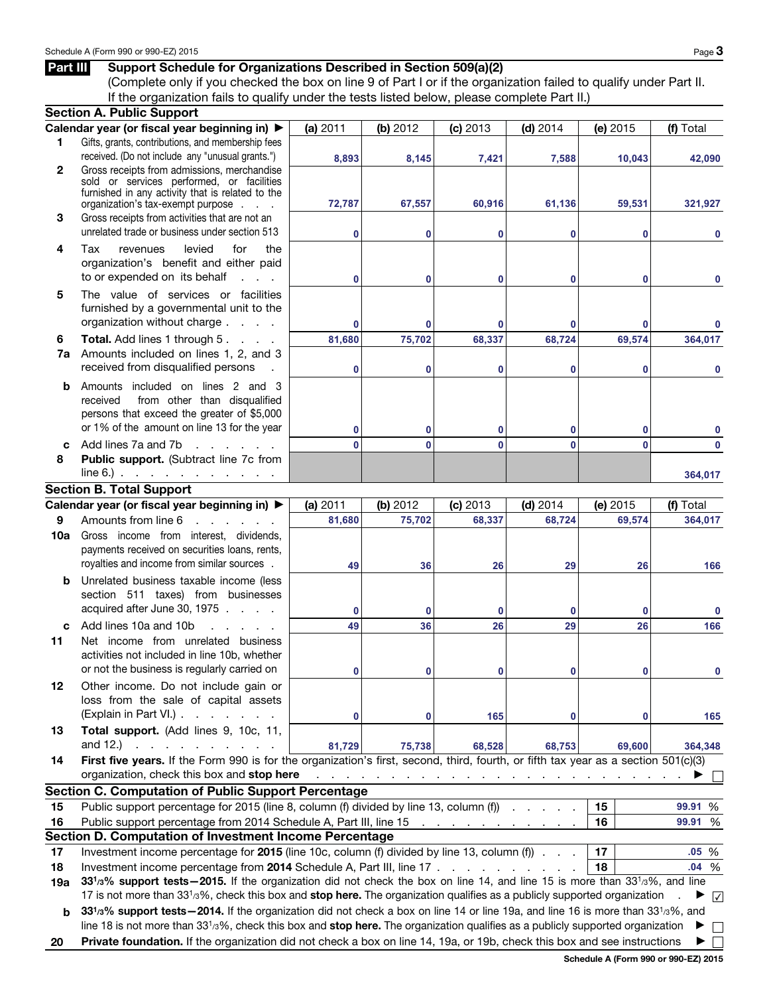## **Part III** Support Schedule for Organizations Described in Section 509(a)(2)

(Complete only if you checked the box on line 9 of Part I or if the organization failed to qualify under Part II. If the organization fails to qualify under the tests listed below, please complete Part II.)

|              | <b>Section A. Public Support</b>                                                                                                                     |          |          |            |            |                                                                                                          |                   |  |  |  |
|--------------|------------------------------------------------------------------------------------------------------------------------------------------------------|----------|----------|------------|------------|----------------------------------------------------------------------------------------------------------|-------------------|--|--|--|
|              | Calendar year (or fiscal year beginning in) ▶                                                                                                        | (a) 2011 | (b) 2012 | (c) 2013   | $(d)$ 2014 | (e) 2015                                                                                                 | (f) Total         |  |  |  |
| 1.           | Gifts, grants, contributions, and membership fees                                                                                                    |          |          |            |            |                                                                                                          |                   |  |  |  |
|              | received. (Do not include any "unusual grants.")                                                                                                     | 8,893    | 8,145    | 7,421      | 7,588      | 10,043                                                                                                   | 42,090            |  |  |  |
| $\mathbf{2}$ | Gross receipts from admissions, merchandise                                                                                                          |          |          |            |            |                                                                                                          |                   |  |  |  |
|              | sold or services performed, or facilities<br>furnished in any activity that is related to the                                                        |          |          |            |            |                                                                                                          |                   |  |  |  |
|              | organization's tax-exempt purpose                                                                                                                    | 72,787   | 67,557   | 60,916     | 61,136     | 59,531                                                                                                   | 321,927           |  |  |  |
| 3            | Gross receipts from activities that are not an                                                                                                       |          |          |            |            |                                                                                                          |                   |  |  |  |
|              | unrelated trade or business under section 513                                                                                                        | $\bf{0}$ | 0        | 0          | 0          | 0                                                                                                        | $\bf{0}$          |  |  |  |
| 4            | levied<br>Tax<br>revenues<br>for<br>the                                                                                                              |          |          |            |            |                                                                                                          |                   |  |  |  |
|              | organization's benefit and either paid                                                                                                               |          |          |            |            |                                                                                                          |                   |  |  |  |
|              | to or expended on its behalf<br><b>Contract Contract</b>                                                                                             | $\bf{0}$ | 0        | 0          | 0          | 0                                                                                                        | 0                 |  |  |  |
| 5            | The value of services or facilities                                                                                                                  |          |          |            |            |                                                                                                          |                   |  |  |  |
|              | furnished by a governmental unit to the                                                                                                              |          |          |            |            |                                                                                                          |                   |  |  |  |
|              | organization without charge                                                                                                                          | $\bf{0}$ | $\bf{0}$ | 0          | 0          | 0                                                                                                        |                   |  |  |  |
| 6            | Total. Add lines 1 through 5.                                                                                                                        | 81,680   | 75,702   | 68,337     | 68,724     | 69,574                                                                                                   | 364,017           |  |  |  |
| 7a           | Amounts included on lines 1, 2, and 3                                                                                                                |          |          |            |            |                                                                                                          |                   |  |  |  |
|              | received from disqualified persons                                                                                                                   | $\bf{0}$ | 0        | 0          | 0          | 0                                                                                                        | 0                 |  |  |  |
| b            | Amounts included on lines 2 and 3                                                                                                                    |          |          |            |            |                                                                                                          |                   |  |  |  |
|              | from other than disqualified<br>received                                                                                                             |          |          |            |            |                                                                                                          |                   |  |  |  |
|              | persons that exceed the greater of \$5,000                                                                                                           |          |          |            |            |                                                                                                          |                   |  |  |  |
|              | or 1% of the amount on line 13 for the year                                                                                                          | $\bf{0}$ | 0        | 0          | 0          | 0                                                                                                        | 0                 |  |  |  |
| C            | Add lines 7a and 7b<br>$\mathbf{r}$ and $\mathbf{r}$ and $\mathbf{r}$                                                                                | $\bf{0}$ | $\bf{0}$ | 0          | $\bf{0}$   | 0                                                                                                        | 0                 |  |  |  |
| 8            | Public support. (Subtract line 7c from                                                                                                               |          |          |            |            |                                                                                                          |                   |  |  |  |
|              | $line 6.)$                                                                                                                                           |          |          |            |            |                                                                                                          | 364,017           |  |  |  |
|              | <b>Section B. Total Support</b>                                                                                                                      |          |          |            |            |                                                                                                          |                   |  |  |  |
|              | Calendar year (or fiscal year beginning in) ▶                                                                                                        | (a) 2011 | (b) 2012 | $(c)$ 2013 | $(d)$ 2014 | (e) $2015$                                                                                               | (f) Total         |  |  |  |
| 9            | Amounts from line 6                                                                                                                                  | 81,680   | 75,702   | 68,337     | 68,724     | 69,574                                                                                                   | 364,017           |  |  |  |
| 10a          | Gross income from interest, dividends,                                                                                                               |          |          |            |            |                                                                                                          |                   |  |  |  |
|              | payments received on securities loans, rents,                                                                                                        |          |          |            |            |                                                                                                          |                   |  |  |  |
|              | royalties and income from similar sources.                                                                                                           | 49       | 36       | 26         | 29         | 26                                                                                                       | 166               |  |  |  |
| b            | Unrelated business taxable income (less                                                                                                              |          |          |            |            |                                                                                                          |                   |  |  |  |
|              | section 511 taxes) from businesses                                                                                                                   |          |          |            |            |                                                                                                          |                   |  |  |  |
|              | acquired after June 30, 1975                                                                                                                         | $\bf{0}$ | $\bf{0}$ | 0          | 0          | 0                                                                                                        | 0                 |  |  |  |
| c            | Add lines 10a and 10b                                                                                                                                | 49       | 36       | 26         | 29         | 26                                                                                                       | 166               |  |  |  |
| 11           | Net income from unrelated business                                                                                                                   |          |          |            |            |                                                                                                          |                   |  |  |  |
|              | activities not included in line 10b, whether                                                                                                         |          |          |            |            |                                                                                                          |                   |  |  |  |
|              | or not the business is regularly carried on                                                                                                          | $\bf{0}$ | 0        | 0          | 0          | 0                                                                                                        | $\mathbf 0$       |  |  |  |
| 12           | Other income. Do not include gain or                                                                                                                 |          |          |            |            |                                                                                                          |                   |  |  |  |
|              | loss from the sale of capital assets                                                                                                                 |          |          |            |            |                                                                                                          |                   |  |  |  |
|              | (Explain in Part VI.)                                                                                                                                | $\bf{0}$ | 0        | 165        | 0          | 0                                                                                                        | 165               |  |  |  |
| 13           | Total support. (Add lines 9, 10c, 11,                                                                                                                |          |          |            |            |                                                                                                          |                   |  |  |  |
|              | and 12.) $\therefore$ $\therefore$ $\therefore$ $\therefore$ $\therefore$ $\therefore$ $\therefore$                                                  | 81,729   | 75,738   | 68,528     | 68,753     | 69,600                                                                                                   | 364,348           |  |  |  |
| 14           | First five years. If the Form 990 is for the organization's first, second, third, fourth, or fifth tax year as a section 501(c)(3)                   |          |          |            |            |                                                                                                          |                   |  |  |  |
|              | organization, check this box and stop here                                                                                                           |          |          |            |            | المنافر المنافر المنافر المنافر المنافر المنافر المنافر المنافر فالمنافر المنافر المنافر المنافر المنافر |                   |  |  |  |
|              | <b>Section C. Computation of Public Support Percentage</b>                                                                                           |          |          |            |            |                                                                                                          |                   |  |  |  |
| 15           | Public support percentage for 2015 (line 8, column (f) divided by line 13, column (f)                                                                |          |          |            |            | 15                                                                                                       | 99.91 %           |  |  |  |
| 16           | Public support percentage from 2014 Schedule A, Part III, line 15                                                                                    |          |          |            |            | 16                                                                                                       | 99.91 %           |  |  |  |
|              | Section D. Computation of Investment Income Percentage                                                                                               |          |          |            |            |                                                                                                          |                   |  |  |  |
| 17           | Investment income percentage for 2015 (line 10c, column (f) divided by line 13, column (f)                                                           |          |          |            |            | 17                                                                                                       | .05%              |  |  |  |
| 18           | Investment income percentage from 2014 Schedule A, Part III, line 17                                                                                 |          |          |            |            | 18                                                                                                       | .04%              |  |  |  |
| 19a          | 33 <sup>1</sup> /3% support tests-2015. If the organization did not check the box on line 14, and line 15 is more than 33 <sup>1</sup> /3%, and line |          |          |            |            |                                                                                                          |                   |  |  |  |
|              | 17 is not more than 331/3%, check this box and stop here. The organization qualifies as a publicly supported organization                            |          |          |            |            |                                                                                                          | $\checkmark$      |  |  |  |
| b            | 331/3% support tests - 2014. If the organization did not check a box on line 14 or line 19a, and line 16 is more than 331/3%, and                    |          |          |            |            |                                                                                                          |                   |  |  |  |
|              | line 18 is not more than $3313%$ , check this box and stop here. The organization qualifies as a publicly supported organization                     |          |          |            |            |                                                                                                          | ▶<br>$\mathbf{I}$ |  |  |  |
| 20           | Private foundation. If the organization did not check a box on line 14, 19a, or 19b, check this box and see instructions                             |          |          |            |            |                                                                                                          |                   |  |  |  |

**Schedule A (Form 990 or 990-EZ) 2015**